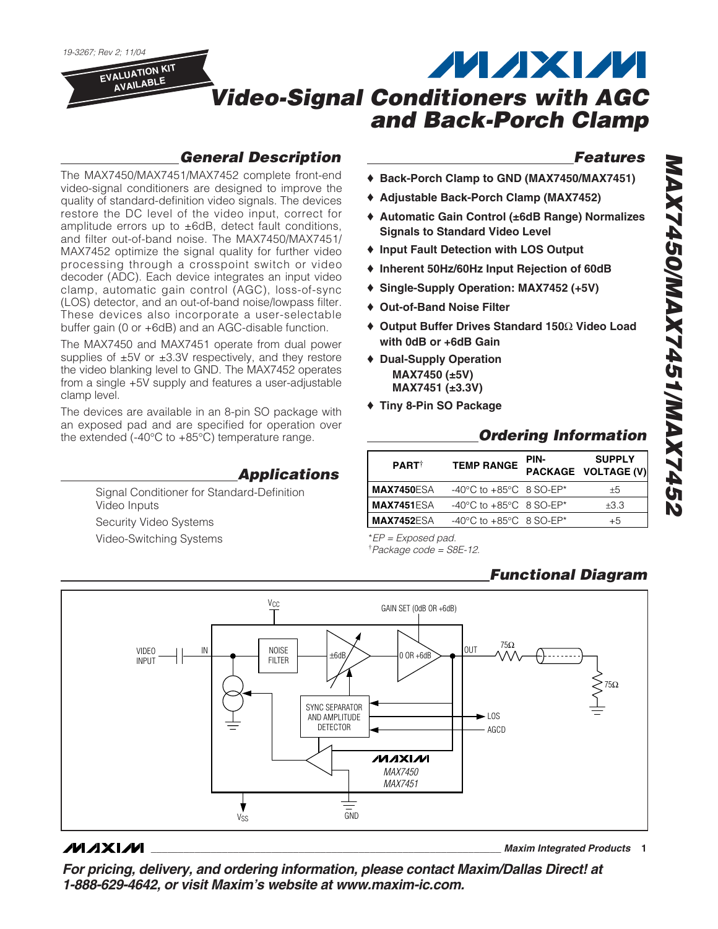

## *General Description*

The MAX7450/MAX7451/MAX7452 complete front-end video-signal conditioners are designed to improve the quality of standard-definition video signals. The devices restore the DC level of the video input, correct for amplitude errors up to ±6dB, detect fault conditions, and filter out-of-band noise. The MAX7450/MAX7451/ MAX7452 optimize the signal quality for further video processing through a crosspoint switch or video decoder (ADC). Each device integrates an input video clamp, automatic gain control (AGC), loss-of-sync (LOS) detector, and an out-of-band noise/lowpass filter. These devices also incorporate a user-selectable buffer gain (0 or +6dB) and an AGC-disable function.

The MAX7450 and MAX7451 operate from dual power supplies of  $\pm 5V$  or  $\pm 3.3V$  respectively, and they restore the video blanking level to GND. The MAX7452 operates from a single +5V supply and features a user-adjustable clamp level.

The devices are available in an 8-pin SO package with an exposed pad and are specified for operation over the extended (-40°C to +85°C) temperature range.

*Applications*

Signal Conditioner for Standard-Definition Video Inputs Security Video Systems Video-Switching Systems

### *Features*

- ♦ **Back-Porch Clamp to GND (MAX7450/MAX7451)**
- ♦ **Adjustable Back-Porch Clamp (MAX7452)**
- ♦ **Automatic Gain Control (±6dB Range) Normalizes Signals to Standard Video Level**
- ♦ **Input Fault Detection with LOS Output**
- ♦ **Inherent 50Hz/60Hz Input Rejection of 60dB**
- ♦ **Single-Supply Operation: MAX7452 (+5V)**
- ♦ **Out-of-Band Noise Filter**
- ♦ **Output Buffer Drives Standard 150**Ω **Video Load with 0dB or +6dB Gain**
- ♦ **Dual-Supply Operation MAX7450 (±5V) MAX7451 (±3.3V)**
- ♦ **Tiny 8-Pin SO Package**

## *Ordering Information*

| <b>PART</b>       | <b>TEMP RANGE</b>                             | PIN- | <b>SUPPLY</b><br>PACKAGE VOLTAGE (V) |  |
|-------------------|-----------------------------------------------|------|--------------------------------------|--|
| <b>MAX7450ESA</b> | -40 $^{\circ}$ C to +85 $^{\circ}$ C 8 SO-EP* |      | $+5$                                 |  |
| <b>MAX7451ESA</b> | -40°C to +85°C 8 SO-EP*                       |      | ±3.3                                 |  |
| <b>MAX7452ESA</b> | -40°C to +85°C 8 SO-EP*                       |      | $+5$                                 |  |

\**EP = Exposed pad.*

† *Package code = S8E-12.*

## *Functional Diagram*



### **MAXM**

**\_\_\_\_\_\_\_\_\_\_\_\_\_\_\_\_\_\_\_\_\_\_\_\_\_\_\_\_\_\_\_\_\_\_\_\_\_\_\_\_\_\_\_\_\_\_\_\_\_\_\_\_\_\_\_\_\_\_\_\_\_\_\_\_** *Maxim Integrated Products* **1**

*For pricing, delivery, and ordering information, please contact Maxim/Dallas Direct! at 1-888-629-4642, or visit Maxim's website at www.maxim-ic.com.*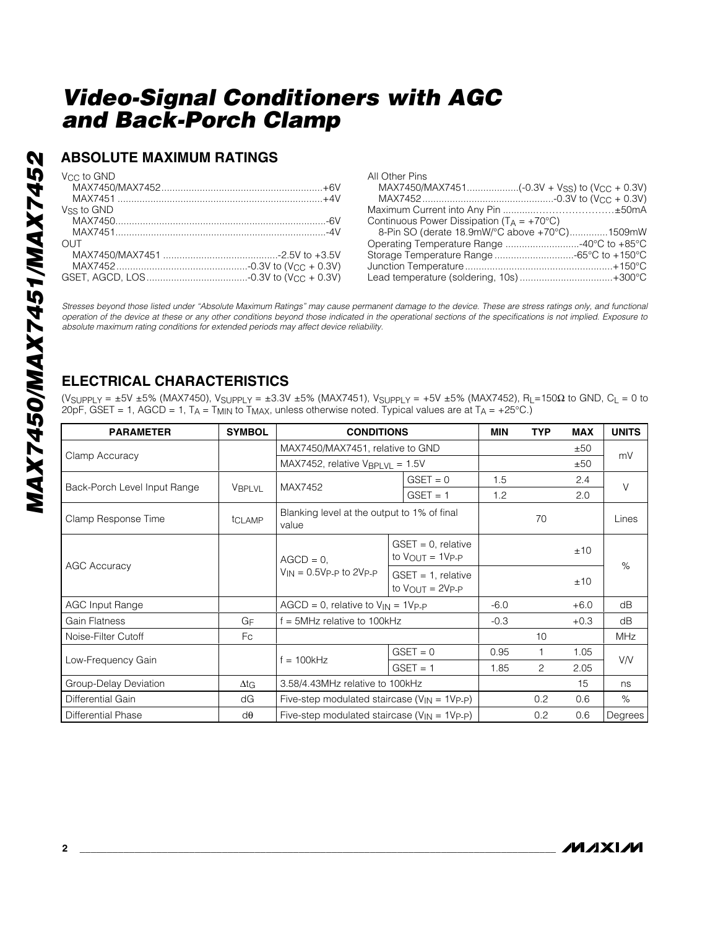## **ABSOLUTE MAXIMUM RATINGS**

| Vee to GND                                                                                                                                                                                                                                                         | All (           |
|--------------------------------------------------------------------------------------------------------------------------------------------------------------------------------------------------------------------------------------------------------------------|-----------------|
|                                                                                                                                                                                                                                                                    | $\mathbb N$     |
|                                                                                                                                                                                                                                                                    | Λ               |
| Vss to GND                                                                                                                                                                                                                                                         | Max             |
|                                                                                                                                                                                                                                                                    | Cor             |
|                                                                                                                                                                                                                                                                    | 8               |
| OUT.                                                                                                                                                                                                                                                               | Op <sub>t</sub> |
|                                                                                                                                                                                                                                                                    | Stor            |
|                                                                                                                                                                                                                                                                    | Jun             |
|                                                                                                                                                                                                                                                                    | Lea             |
| Stresses beyond those listed under "Absolute Maximum Ratings" may cause permane<br>operation of the device at these or any other conditions beyond those indicated in th<br>absolute maximum rating conditions for extended periods may affect device reliability. |                 |

| All Other Pins                                        |  |
|-------------------------------------------------------|--|
|                                                       |  |
|                                                       |  |
|                                                       |  |
| Continuous Power Dissipation ( $T_A = +70^{\circ}C$ ) |  |
| 8-Pin SO (derate 18.9mW/°C above +70°C)1509mW         |  |
|                                                       |  |
|                                                       |  |
|                                                       |  |
|                                                       |  |

*Stresses beyond those listed under "Absolute Maximum Ratings" may cause permanent damage to the device. These are stress ratings only, and functional operation of the device at these or any other conditions beyond those indicated in the operational sections of the specifications is not implied. Exposure to*

## **ELECTRICAL CHARACTERISTICS**

(VSUPPLY = ±5V ±5% (MAX7450), VSUPPLY = ±3.3V ±5% (MAX7451), VSUPPLY = +5V ±5% (MAX7452), R L=150 Ω to GND, CL = 0 to 20pF, GSET = 1, AGCD = 1, T $_A$  = T $_{\rm MIN}$  to T $_{\rm MAX}$ , unless otherwise noted. Typical values are at T $_A$  = +25°C.)

| <b>PARAMETER</b>             | <b>SYMBOL</b> | <b>CONDITIONS</b>                                                               |                                                                | <b>MIN</b> | <b>TYP</b>     | <b>MAX</b> | <b>UNITS</b> |
|------------------------------|---------------|---------------------------------------------------------------------------------|----------------------------------------------------------------|------------|----------------|------------|--------------|
|                              |               | MAX7450/MAX7451, relative to GND<br>MAX7452, relative $V_{\text{BPLVL}} = 1.5V$ |                                                                |            |                | ±50        | mV           |
| Clamp Accuracy               |               |                                                                                 |                                                                |            |                | ±50        |              |
|                              | <b>VBPLVL</b> | MAX7452                                                                         | $GSET = 0$                                                     | 1.5        |                | 2.4        | $\vee$       |
| Back-Porch Level Input Range |               |                                                                                 | $GSET = 1$                                                     | 1.2        |                | 2.0        |              |
| Clamp Response Time          | tCLAMP        | Blanking level at the output to 1% of final<br>value                            |                                                                |            | 70             |            | Lines        |
|                              |               | $AGCD = 0$ ,<br>$V_{IN} = 0.5V_{P-P}$ to 2V <sub>P-P</sub>                      | $GSET = 0$ , relative<br>to $V_{\text{OUT}} = 1V_{\text{P-P}}$ |            |                | ±10        | %            |
| <b>AGC Accuracy</b>          |               |                                                                                 | $GSET = 1$ , relative<br>to $V_{OUIT} = 2V_{P-P}$              |            |                | ±10        |              |
| <b>AGC Input Range</b>       |               | $AGCD = 0$ , relative to $V_{IN} = 1V_{P-P}$                                    |                                                                | $-6.0$     |                | $+6.0$     | dB           |
| Gain Flatness                | GF            | $f = 5MHz$ relative to 100kHz                                                   |                                                                | $-0.3$     |                | $+0.3$     | dB           |
| Noise-Filter Cutoff          | Fc            |                                                                                 |                                                                |            | 10             |            | MHz          |
| Low-Frequency Gain           |               | $f = 100kHz$                                                                    | $GSET = 0$                                                     | 0.95       | 1              | 1.05       | <b>V/V</b>   |
|                              |               |                                                                                 | $GSET = 1$                                                     | 1.85       | $\overline{c}$ | 2.05       |              |
| Group-Delay Deviation        | $\Delta t$ G  | 3.58/4.43MHz relative to 100kHz                                                 |                                                                |            |                | 15         | ns           |
| Differential Gain            | dG            | Five-step modulated staircase ( $V_{IN}$ = 1 $V_{P-P}$ )                        |                                                                |            | 0.2            | 0.6        | $\%$         |
| Differential Phase           | $d\theta$     | Five-step modulated staircase ( $V_{IN}$ = 1 $V_{P-P}$ )                        |                                                                |            | 0.2            | 0.6        | Degrees      |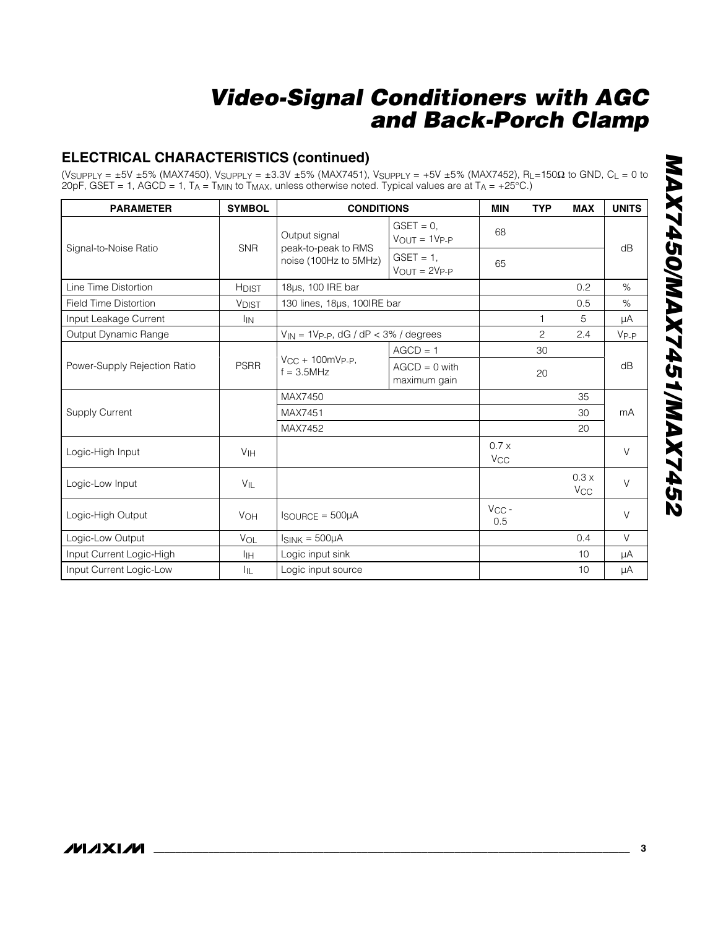## **ELECTRICAL CHARACTERISTICS (continued)**

(VSUPPLY = ±5V ±5% (MAX7450), VSUPPLY = ±3.3V ±5% (MAX7451), VSUPPLY = +5V ±5% (MAX7452), R L=150 Ω to GND, CL = 0 to 20pF, GSET = 1, AGCD = 1, T $_A$  = T $_{\rm MIN}$  to T $_{\rm MAX}$ , unless otherwise noted. Typical values are at T $_A$  = +25°C.)

| <b>PARAMETER</b>             | <b>SYMBOL</b>              | <b>CONDITIONS</b>                                             |                                       | <b>MIN</b>                     | <b>TYP</b>     | <b>MAX</b>                    | <b>UNITS</b> |
|------------------------------|----------------------------|---------------------------------------------------------------|---------------------------------------|--------------------------------|----------------|-------------------------------|--------------|
| Signal-to-Noise Ratio        | <b>SNR</b>                 | Output signal<br>peak-to-peak to RMS<br>noise (100Hz to 5MHz) | $GSET = 0$ ,<br>$V_{OUT} = 1V_{P-P}$  | 68                             |                |                               | dB           |
|                              |                            |                                                               | $GSET = 1$ ,<br>$V_{OUIT} = 2V_{P-P}$ | 65                             |                |                               |              |
| Line Time Distortion         | <b>HDIST</b>               | 18µs, 100 IRE bar                                             |                                       |                                |                | 0.2                           | $\%$         |
| <b>Field Time Distortion</b> | <b>VDIST</b>               | 130 lines, 18µs, 100IRE bar                                   |                                       |                                |                | 0.5                           | $\%$         |
| Input Leakage Current        | $\mathsf{I}_{\mathsf{IN}}$ |                                                               |                                       |                                | $\mathbf{1}$   | 5                             | μA           |
| Output Dynamic Range         |                            | $V_{IN}$ = 1Vp-p, dG / dP < 3% / degrees                      |                                       |                                | $\overline{c}$ | 2.4                           | $V_{P-P}$    |
|                              |                            |                                                               | $AGCD = 1$                            |                                | 30             |                               |              |
| Power-Supply Rejection Ratio | <b>PSRR</b>                | $V_{CC}$ + 100mVp-p,<br>$f = 3.5$ MHz                         | $AGCD = 0$ with<br>maximum gain       |                                | 20             |                               | dB           |
|                              |                            | MAX7450                                                       |                                       |                                |                | 35                            |              |
| <b>Supply Current</b>        |                            | MAX7451                                                       |                                       |                                |                | 30                            | mA           |
|                              |                            | MAX7452                                                       |                                       |                                |                | 20                            |              |
| Logic-High Input             | V <sub>IH</sub>            |                                                               |                                       | 0.7 x<br><b>V<sub>CC</sub></b> |                |                               | $\vee$       |
| Logic-Low Input              | $V_{\parallel}$            |                                                               |                                       |                                |                | 0.3x<br><b>V<sub>CC</sub></b> | $\vee$       |
| Logic-High Output            | <b>VOH</b>                 | $I_{\text{SOURCE}} = 500 \mu A$                               |                                       | $V_{CC}$ -<br>0.5              |                |                               | $\vee$       |
| Logic-Low Output             | VOL                        | $I_{SINK} = 500 \mu A$                                        |                                       |                                |                | 0.4                           | $\vee$       |
| Input Current Logic-High     | ĪЩ                         | Logic input sink                                              |                                       |                                |                | 10                            | μA           |
| Input Current Logic-Low      | <b>I</b> IL                | Logic input source                                            |                                       |                                |                | 10                            | $\mu A$      |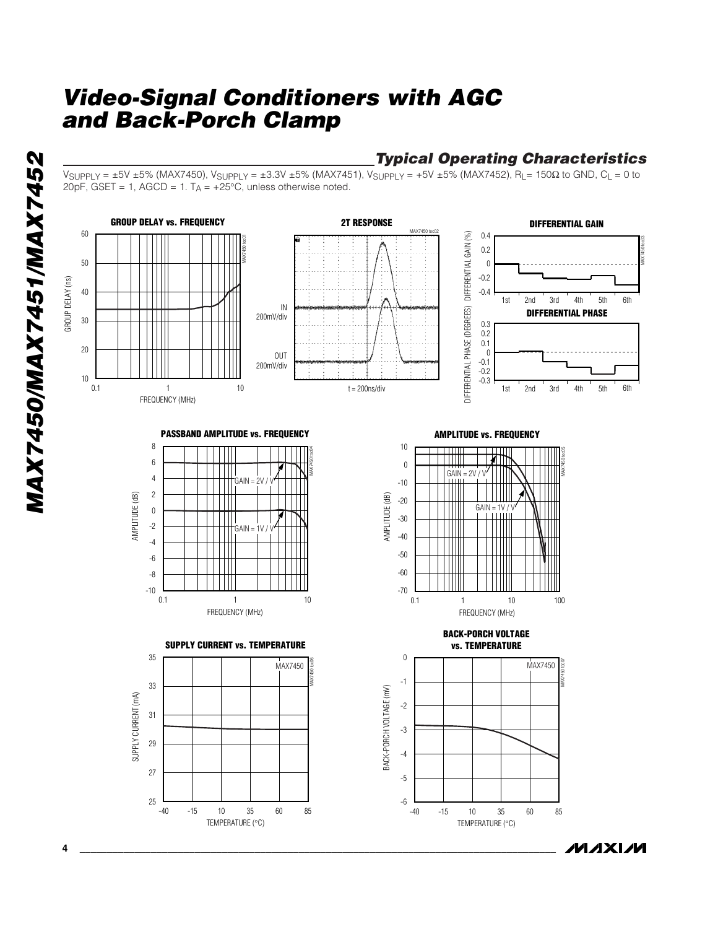## *Typical Operating Characteristics*

**MAXIM** 

VSUPPLY = ±5V ±5% (MAX7450), VSUPPLY = ±3.3V ±5% (MAX7451), VSUPPLY = +5V ±5% (MAX7452), R L= 150 Ω to GND, CL = 0 to  $20pF$ , GSET = 1, AGCD = 1. T $_A$  = +25°C, unless otherwise noted.

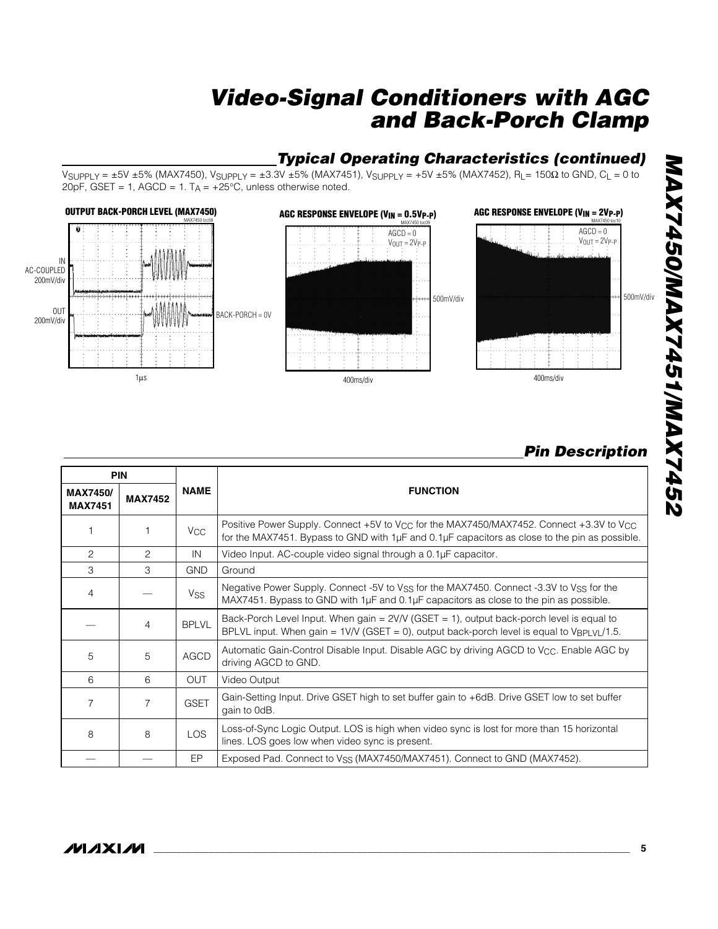## *Typical Operating Characteristics (continued)*

VSUPPLY = ±5V ±5% (MAX7450), VSUPPLY = ±3.3V ±5% (MAX7451), VSUPPLY = +5V ±5% (MAX7452), R L= 150 Ω to GND, CL = 0 to  $20pF$ , GSET = 1, AGCD = 1. T $_A$  = +25°C, unless otherwise noted.



## *Pin Description*

|                                   | <b>PIN</b>     |                       |                                                                                                                                                                                                                     |  |  |
|-----------------------------------|----------------|-----------------------|---------------------------------------------------------------------------------------------------------------------------------------------------------------------------------------------------------------------|--|--|
| <b>MAX7450/</b><br><b>MAX7451</b> | <b>MAX7452</b> | <b>NAME</b>           | <b>FUNCTION</b>                                                                                                                                                                                                     |  |  |
|                                   |                | V <sub>CC</sub>       | Positive Power Supply. Connect +5V to V <sub>CC</sub> for the MAX7450/MAX7452. Connect +3.3V to V <sub>CC</sub><br>for the MAX7451. Bypass to GND with 1µF and 0.1µF capacitors as close to the pin as possible.    |  |  |
| 2                                 | 2              | IN                    | Video Input. AC-couple video signal through a 0.1µF capacitor.                                                                                                                                                      |  |  |
| 3                                 | 3              | <b>GND</b>            | Ground                                                                                                                                                                                                              |  |  |
| 4                                 |                | <b>V<sub>SS</sub></b> | Negative Power Supply. Connect -5V to V <sub>SS</sub> for the MAX7450. Connect -3.3V to V <sub>SS</sub> for the<br>MAX7451. Bypass to GND with $1\mu$ F and 0.1 $\mu$ F capacitors as close to the pin as possible. |  |  |
|                                   | 4              | <b>BPLVL</b>          | Back-Porch Level Input. When gain = 2V/V (GSET = 1), output back-porch level is equal to<br>BPLVL input. When gain = $1$ V/V (GSET = 0), output back-porch level is equal to $V_{\text{BPLV}}/1.5$ .                |  |  |
| 5                                 | 5              | <b>AGCD</b>           | Automatic Gain-Control Disable Input. Disable AGC by driving AGCD to V <sub>CC</sub> . Enable AGC by<br>driving AGCD to GND.                                                                                        |  |  |
| 6                                 | 6              | <b>OUT</b>            | Video Output                                                                                                                                                                                                        |  |  |
| $\overline{7}$                    | $\overline{7}$ | <b>GSET</b>           | Gain-Setting Input. Drive GSET high to set buffer gain to +6dB. Drive GSET low to set buffer<br>gain to OdB.                                                                                                        |  |  |
| 8                                 | 8              | <b>LOS</b>            | Loss-of-Sync Logic Output. LOS is high when video sync is lost for more than 15 horizontal<br>lines. LOS goes low when video sync is present.                                                                       |  |  |
|                                   |                | EP.                   | Exposed Pad. Connect to V <sub>SS</sub> (MAX7450/MAX7451). Connect to GND (MAX7452).                                                                                                                                |  |  |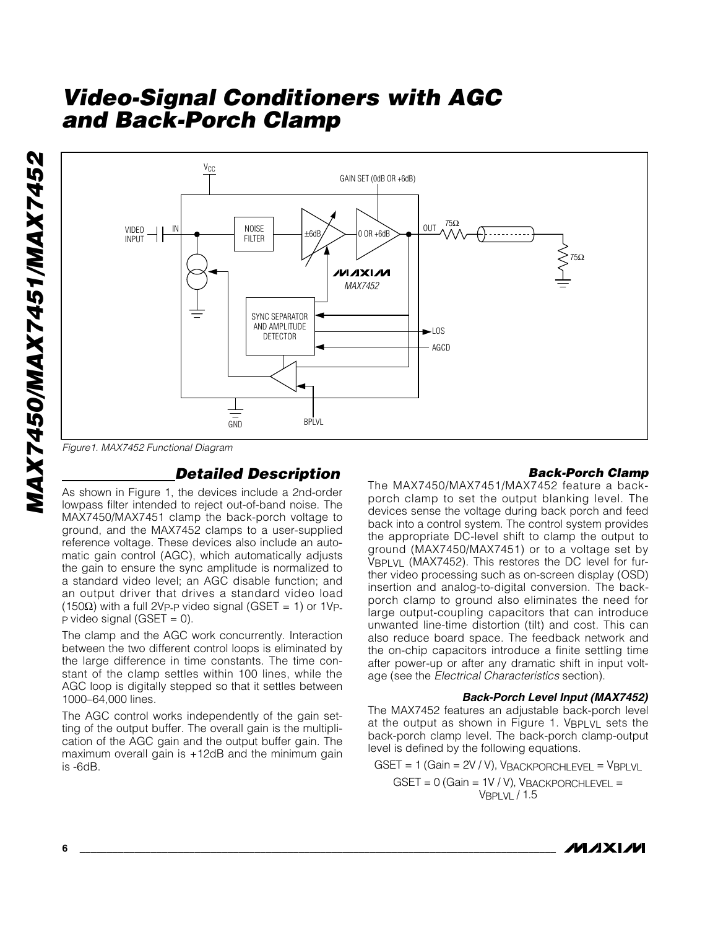



*Figure1. MAX7452 Functional Diagram*

### *Detailed Description*

As shown in Figure 1, the devices include a 2nd-order lowpass filter intended to reject out-of-band noise. The MAX7450/MAX7451 clamp the back-porch voltage to ground, and the MAX7452 clamps to a user-supplied reference voltage. These devices also include an automatic gain control (AGC), which automatically adjusts the gain to ensure the sync amplitude is normalized to a standard video level; an AGC disable function; and an output driver that drives a standard video load (150Ω) with a full 2Vp-p video signal (GSET = 1) or 1Vp- $P$  video signal (GSET = 0).

The clamp and the AGC work concurrently. Interaction between the two different control loops is eliminated by the large difference in time constants. The time constant of the clamp settles within 100 lines, while the AGC loop is digitally stepped so that it settles between 1000–64,000 lines.

The AGC control works independently of the gain setting of the output buffer. The overall gain is the multiplication of the AGC gain and the output buffer gain. The maximum overall gain is +12dB and the minimum gain is -6dB.

#### *Back-Porch Clamp*

The MAX7450/MAX7451/MAX7452 feature a backporch clamp to set the output blanking level. The devices sense the voltage during back porch and feed back into a control system. The control system provides the appropriate DC-level shift to clamp the output to ground (MAX7450/MAX7451) or to a voltage set by VBPLVL (MAX7452). This restores the DC level for further video processing such as on-screen display (OSD) insertion and analog-to-digital conversion. The backporch clamp to ground also eliminates the need for large output-coupling capacitors that can introduce unwanted line-time distortion (tilt) and cost. This can also reduce board space. The feedback network and the on-chip capacitors introduce a finite settling time after power-up or after any dramatic shift in input voltage (see the *Electrical Characteristics* section).

#### *Back-Porch Level Input (MAX7452)*

The MAX7452 features an adjustable back-porch level at the output as shown in Figure 1.  $V_{\text{BPLVL}}$  sets the back-porch clamp level. The back-porch clamp-output level is defined by the following equations.

 $GSET = 1$  (Gain =  $2V / V$ ),  $V_{BACKPORTLEVEL} = V_{BPLYL}$ 

 $GSET = 0$  (Gain = 1V / V), VBACKPORCHLEVEL = VBPLVL / 1.5

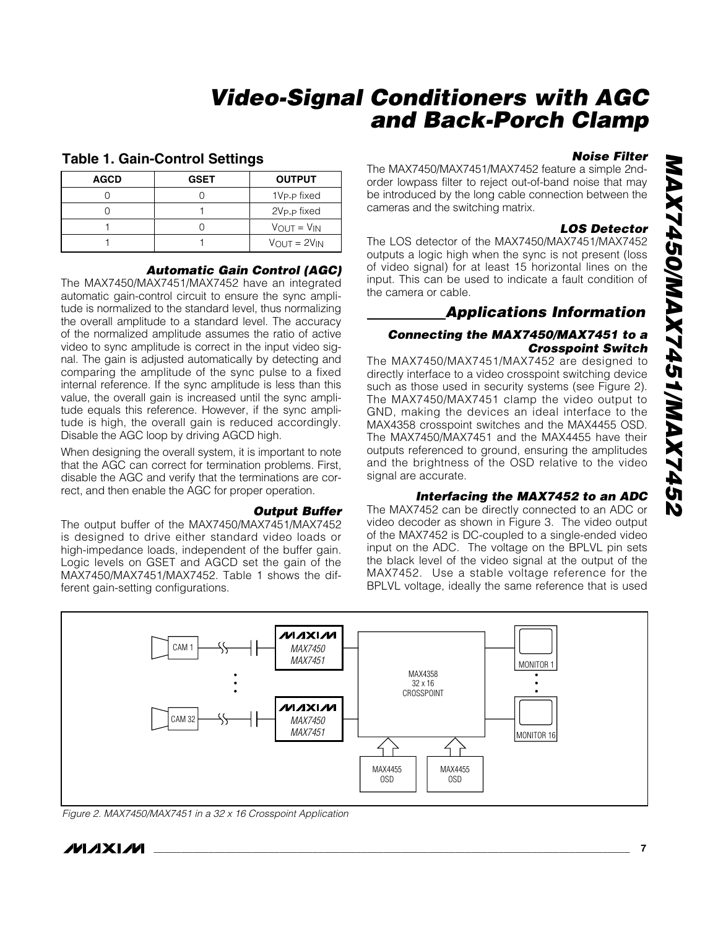#### **Table 1. Gain-Control Settings**

| <b>AGCD</b> | <b>GSET</b> | <b>OUTPUT</b>                     |
|-------------|-------------|-----------------------------------|
|             |             | 1V <sub>P-P</sub> fixed           |
|             |             | 2V <sub>P-P</sub> fixed           |
|             |             | $V_{OUT} = V_{IN}$                |
|             |             | $V_{\text{OUT}} = 2V_{\text{IN}}$ |

#### *Automatic Gain Control (AGC)*

The MAX7450/MAX7451/MAX7452 have an integrated automatic gain-control circuit to ensure the sync amplitude is normalized to the standard level, thus normalizing the overall amplitude to a standard level. The accuracy of the normalized amplitude assumes the ratio of active video to sync amplitude is correct in the input video signal. The gain is adjusted automatically by detecting and comparing the amplitude of the sync pulse to a fixed internal reference. If the sync amplitude is less than this value, the overall gain is increased until the sync amplitude equals this reference. However, if the sync amplitude is high, the overall gain is reduced accordingly. Disable the AGC loop by driving AGCD high.

When designing the overall system, it is important to note that the AGC can correct for termination problems. First, disable the AGC and verify that the terminations are correct, and then enable the AGC for proper operation.

#### *Output Buffer*

The output buffer of the MAX7450/MAX7451/MAX7452 is designed to drive either standard video loads or high-impedance loads, independent of the buffer gain. Logic levels on GSET and AGCD set the gain of the MAX7450/MAX7451/MAX7452. Table 1 shows the different gain-setting configurations.

#### *Noise Filter*

The MAX7450/MAX7451/MAX7452 feature a simple 2ndorder lowpass filter to reject out-of-band noise that may be introduced by the long cable connection between the cameras and the switching matrix.

#### *LOS Detector*

The LOS detector of the MAX7450/MAX7451/MAX7452 outputs a logic high when the sync is not present (loss of video signal) for at least 15 horizontal lines on the input. This can be used to indicate a fault condition of the camera or cable.

## *Applications Information*

#### *Connecting the MAX7450/MAX7451 to a Crosspoint Switch*

The MAX7450/MAX7451/MAX7452 are designed to directly interface to a video crosspoint switching device such as those used in security systems (see Figure 2). The MAX7450/MAX7451 clamp the video output to GND, making the devices an ideal interface to the MAX4358 crosspoint switches and the MAX4455 OSD. The MAX7450/MAX7451 and the MAX4455 have their outputs referenced to ground, ensuring the amplitudes and the brightness of the OSD relative to the video signal are accurate.

#### *Interfacing the MAX7452 to an ADC*

The MAX7452 can be directly connected to an ADC or video decoder as shown in Figure 3. The video output of the MAX7452 is DC-coupled to a single-ended video input on the ADC. The voltage on the BPLVL pin sets the black level of the video signal at the output of the MAX7452. Use a stable voltage reference for the BPLVL voltage, ideally the same reference that is used



*Figure 2. MAX7450/MAX7451 in a 32 x 16 Crosspoint Application*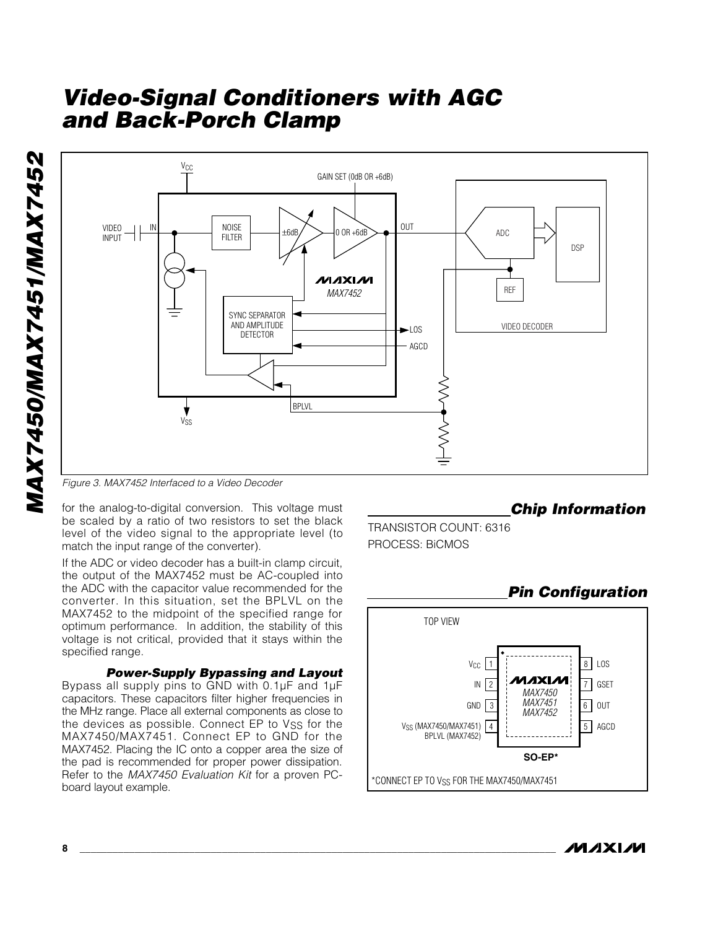



*Figure 3. MAX7452 Interfaced to a Video Decoder*

for the analog-to-digital conversion. This voltage must be scaled by a ratio of two resistors to set the black level of the video signal to the appropriate level (to match the input range of the converter).

If the ADC or video decoder has a built-in clamp circuit, the output of the MAX7452 must be AC-coupled into the ADC with the capacitor value recommended for the converter. In this situation, set the BPLVL on the MAX7452 to the midpoint of the specified range for optimum performance. In addition, the stability of this voltage is not critical, provided that it stays within the specified range.

*Power-Supply Bypassing and Layout*

Bypass all supply pins to GND with 0.1µF and 1µF capacitors. These capacitors filter higher frequencies in the MHz range. Place all external components as close to the devices as possible. Connect EP to Vss for the MAX7450/MAX7451. Connect EP to GND for the MAX7452. Placing the IC onto a copper area the size of the pad is recommended for proper power dissipation. Refer to the *MAX7450 Evaluation Kit* for a proven PCboard layout example.

#### *Chip Information*

TRANSISTOR COUNT: 6316 PROCESS: BiCMOS